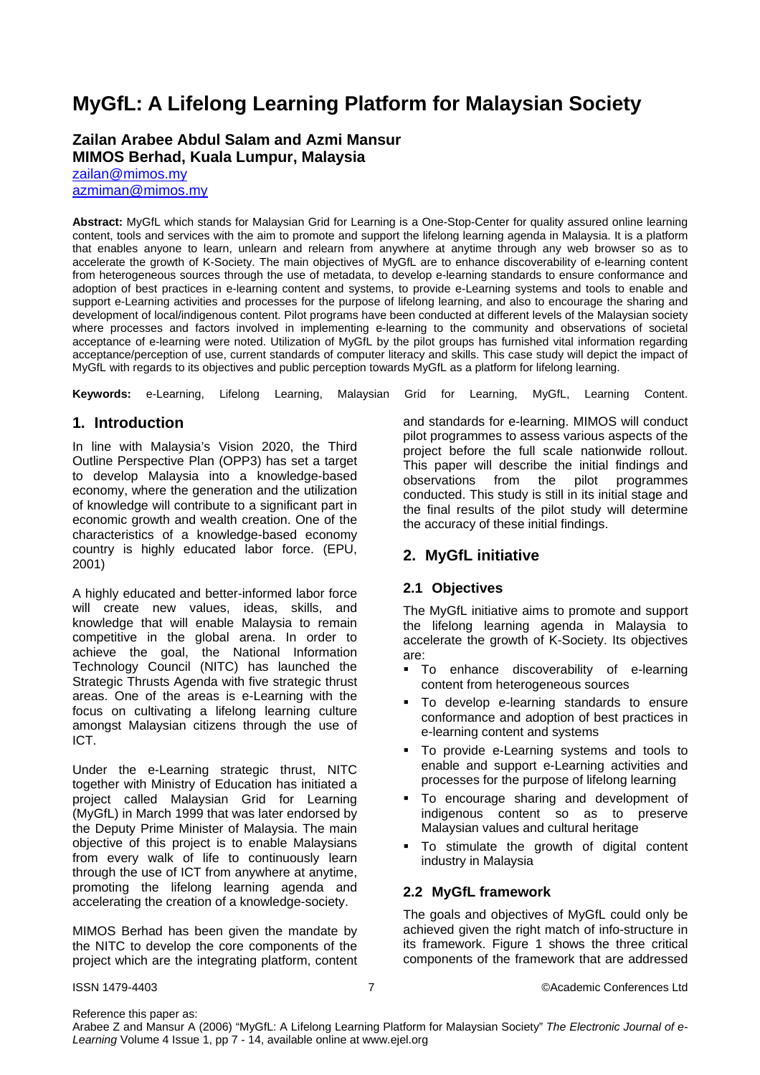# **MyGfL: A Lifelong Learning Platform for Malaysian Society**

#### **Zailan Arabee Abdul Salam and Azmi Mansur MIMOS Berhad, Kuala Lumpur, Malaysia**

[zailan@mimos.my](mailto:zailan@mimos.my) 

[azmiman@mimos.my](mailto:azmiman@mimos.my) 

**Abstract:** MyGfL which stands for Malaysian Grid for Learning is a One-Stop-Center for quality assured online learning content, tools and services with the aim to promote and support the lifelong learning agenda in Malaysia. It is a platform that enables anyone to learn, unlearn and relearn from anywhere at anytime through any web browser so as to accelerate the growth of K-Society. The main objectives of MyGfL are to enhance discoverability of e-learning content from heterogeneous sources through the use of metadata, to develop e-learning standards to ensure conformance and adoption of best practices in e-learning content and systems, to provide e-Learning systems and tools to enable and support e-Learning activities and processes for the purpose of lifelong learning, and also to encourage the sharing and development of local/indigenous content. Pilot programs have been conducted at different levels of the Malaysian society where processes and factors involved in implementing e-learning to the community and observations of societal acceptance of e-learning were noted. Utilization of MyGfL by the pilot groups has furnished vital information regarding acceptance/perception of use, current standards of computer literacy and skills. This case study will depict the impact of MyGfL with regards to its objectives and public perception towards MyGfL as a platform for lifelong learning.

**Keywords:** e-Learning, Lifelong Learning, Malaysian Grid for Learning, MyGfL, Learning Content.

## **1. Introduction**

In line with Malaysia's Vision 2020, the Third Outline Perspective Plan (OPP3) has set a target to develop Malaysia into a knowledge-based economy, where the generation and the utilization of knowledge will contribute to a significant part in economic growth and wealth creation. One of the characteristics of a knowledge-based economy country is highly educated labor force. (EPU, 2001)

A highly educated and better-informed labor force will create new values, ideas, skills, and knowledge that will enable Malaysia to remain competitive in the global arena. In order to achieve the goal, the National Information Technology Council (NITC) has launched the Strategic Thrusts Agenda with five strategic thrust areas. One of the areas is e-Learning with the focus on cultivating a lifelong learning culture amongst Malaysian citizens through the use of ICT.

Under the e-Learning strategic thrust, NITC together with Ministry of Education has initiated a project called Malaysian Grid for Learning (MyGfL) in March 1999 that was later endorsed by the Deputy Prime Minister of Malaysia. The main objective of this project is to enable Malaysians from every walk of life to continuously learn through the use of ICT from anywhere at anytime, promoting the lifelong learning agenda and accelerating the creation of a knowledge-society.

MIMOS Berhad has been given the mandate by the NITC to develop the core components of the project which are the integrating platform, content and standards for e-learning. MIMOS will conduct pilot programmes to assess various aspects of the project before the full scale nationwide rollout. This paper will describe the initial findings and observations from the pilot programmes conducted. This study is still in its initial stage and the final results of the pilot study will determine the accuracy of these initial findings.

# **2. MyGfL initiative**

#### **2.1 Objectives**

The MyGfL initiative aims to promote and support the lifelong learning agenda in Malaysia to accelerate the growth of K-Society. Its objectives are:

- **To enhance discoverability of e-learning** content from heterogeneous sources
- To develop e-learning standards to ensure conformance and adoption of best practices in e-learning content and systems
- To provide e-Learning systems and tools to enable and support e-Learning activities and processes for the purpose of lifelong learning
- To encourage sharing and development of indigenous content so as to preserve Malaysian values and cultural heritage
- To stimulate the growth of digital content industry in Malaysia

#### **2.2 MyGfL framework**

The goals and objectives of MyGfL could only be achieved given the right match of info-structure in its framework. Figure 1 shows the three critical components of the framework that are addressed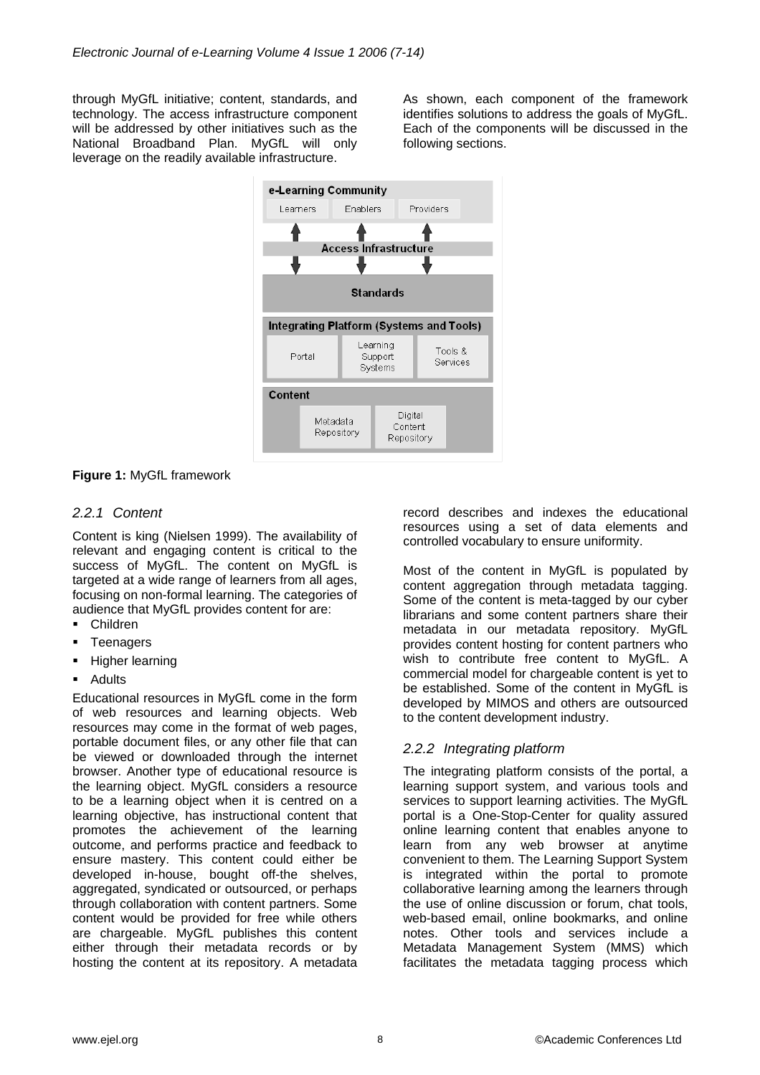through MyGfL initiative; content, standards, and technology. The access infrastructure component will be addressed by other initiatives such as the National Broadband Plan. MyGfL will only leverage on the readily available infrastructure.

As shown, each component of the framework identifies solutions to address the goals of MyGfL. Each of the components will be discussed in the following sections.



**Figure 1:** MyGfL framework

## *2.2.1 Content*

Content is king (Nielsen 1999). The availability of relevant and engaging content is critical to the success of MyGfL. The content on MyGfL is targeted at a wide range of learners from all ages, focusing on non-formal learning. The categories of audience that MyGfL provides content for are:

- Children
- **Teenagers**
- **-** Higher learning
- **Adults**

Educational resources in MyGfL come in the form of web resources and learning objects. Web resources may come in the format of web pages, portable document files, or any other file that can be viewed or downloaded through the internet browser. Another type of educational resource is the learning object. MyGfL considers a resource to be a learning object when it is centred on a learning objective, has instructional content that promotes the achievement of the learning outcome, and performs practice and feedback to ensure mastery. This content could either be developed in-house, bought off-the shelves, aggregated, syndicated or outsourced, or perhaps through collaboration with content partners. Some content would be provided for free while others are chargeable. MyGfL publishes this content either through their metadata records or by hosting the content at its repository. A metadata

record describes and indexes the educational resources using a set of data elements and controlled vocabulary to ensure uniformity.

Most of the content in MyGfL is populated by content aggregation through metadata tagging. Some of the content is meta-tagged by our cyber librarians and some content partners share their metadata in our metadata repository. MyGfL provides content hosting for content partners who wish to contribute free content to MyGfL. A commercial model for chargeable content is yet to be established. Some of the content in MyGfL is developed by MIMOS and others are outsourced to the content development industry.

#### *2.2.2 Integrating platform*

The integrating platform consists of the portal, a learning support system, and various tools and services to support learning activities. The MyGfL portal is a One-Stop-Center for quality assured online learning content that enables anyone to learn from any web browser at anytime convenient to them. The Learning Support System is integrated within the portal to promote collaborative learning among the learners through the use of online discussion or forum, chat tools, web-based email, online bookmarks, and online notes. Other tools and services include a Metadata Management System (MMS) which facilitates the metadata tagging process which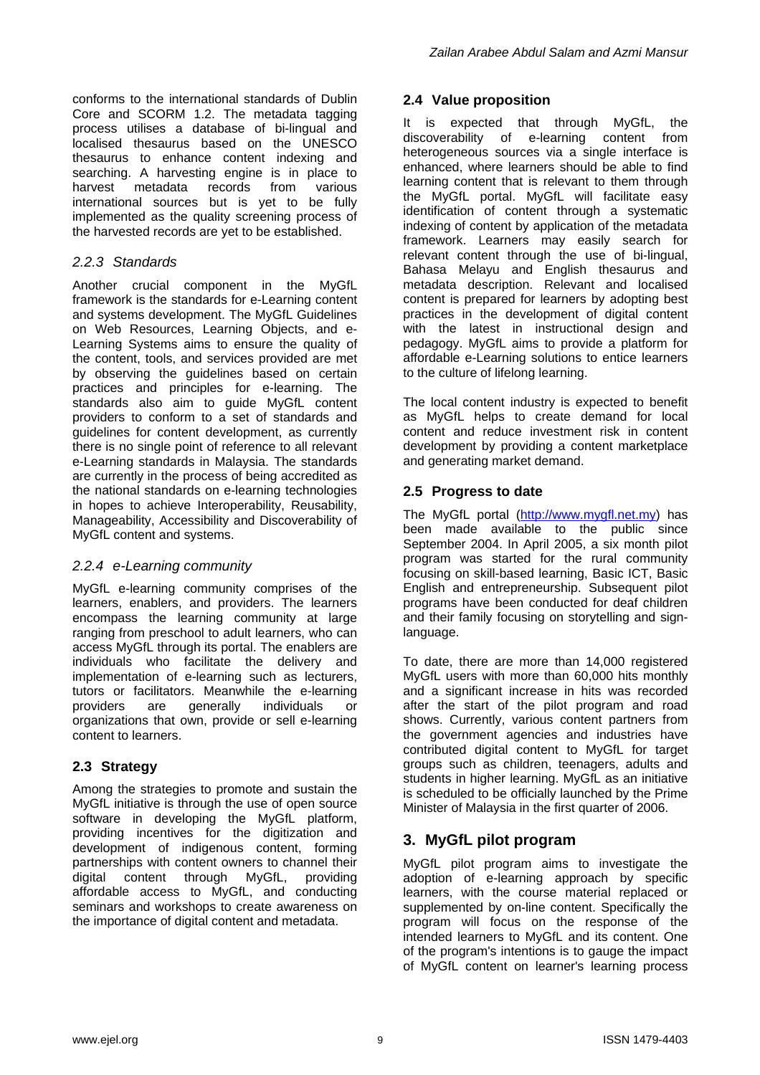conforms to the international standards of Dublin Core and SCORM 1.2. The metadata tagging process utilises a database of bi-lingual and localised thesaurus based on the UNESCO thesaurus to enhance content indexing and searching. A harvesting engine is in place to harvest metadata records from various international sources but is yet to be fully implemented as the quality screening process of the harvested records are yet to be established.

## *2.2.3 Standards*

Another crucial component in the MyGfL framework is the standards for e-Learning content and systems development. The MyGfL Guidelines on Web Resources, Learning Objects, and e-Learning Systems aims to ensure the quality of the content, tools, and services provided are met by observing the guidelines based on certain practices and principles for e-learning. The standards also aim to guide MyGfL content providers to conform to a set of standards and guidelines for content development, as currently there is no single point of reference to all relevant e-Learning standards in Malaysia. The standards are currently in the process of being accredited as the national standards on e-learning technologies in hopes to achieve Interoperability, Reusability, Manageability, Accessibility and Discoverability of MyGfL content and systems.

#### *2.2.4 e-Learning community*

MyGfL e-learning community comprises of the learners, enablers, and providers. The learners encompass the learning community at large ranging from preschool to adult learners, who can access MyGfL through its portal. The enablers are individuals who facilitate the delivery and implementation of e-learning such as lecturers, tutors or facilitators. Meanwhile the e-learning providers are generally individuals or organizations that own, provide or sell e-learning content to learners.

# **2.3 Strategy**

Among the strategies to promote and sustain the MyGfL initiative is through the use of open source software in developing the MyGfL platform, providing incentives for the digitization and development of indigenous content, forming partnerships with content owners to channel their digital content through MyGfL, providing affordable access to MyGfL, and conducting seminars and workshops to create awareness on the importance of digital content and metadata.

#### **2.4 Value proposition**

It is expected that through MyGfL, the discoverability of e-learning content from heterogeneous sources via a single interface is enhanced, where learners should be able to find learning content that is relevant to them through the MyGfL portal. MyGfL will facilitate easy identification of content through a systematic indexing of content by application of the metadata framework. Learners may easily search for relevant content through the use of bi-lingual, Bahasa Melayu and English thesaurus and metadata description. Relevant and localised content is prepared for learners by adopting best practices in the development of digital content with the latest in instructional design and pedagogy. MyGfL aims to provide a platform for affordable e-Learning solutions to entice learners to the culture of lifelong learning.

The local content industry is expected to benefit as MyGfL helps to create demand for local content and reduce investment risk in content development by providing a content marketplace and generating market demand.

# **2.5 Progress to date**

The MyGfL portal [\(http://www.mygfl.net.my\)](http://www.mygfl.net.my/) has been made available to the public since September 2004. In April 2005, a six month pilot program was started for the rural community focusing on skill-based learning, Basic ICT, Basic English and entrepreneurship. Subsequent pilot programs have been conducted for deaf children and their family focusing on storytelling and signlanguage.

To date, there are more than 14,000 registered MyGfL users with more than 60,000 hits monthly and a significant increase in hits was recorded after the start of the pilot program and road shows. Currently, various content partners from the government agencies and industries have contributed digital content to MyGfL for target groups such as children, teenagers, adults and students in higher learning. MyGfL as an initiative is scheduled to be officially launched by the Prime Minister of Malaysia in the first quarter of 2006.

# **3. MyGfL pilot program**

MyGfL pilot program aims to investigate the adoption of e-learning approach by specific learners, with the course material replaced or supplemented by on-line content. Specifically the program will focus on the response of the intended learners to MyGfL and its content. One of the program's intentions is to gauge the impact of MyGfL content on learner's learning process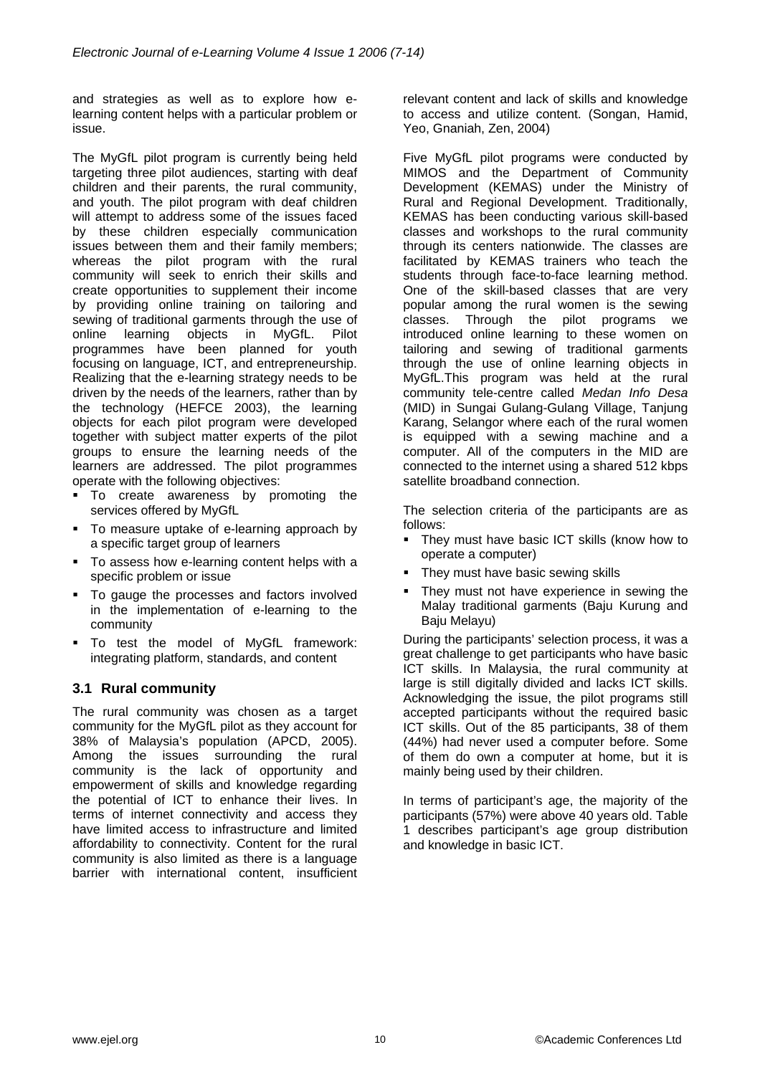and strategies as well as to explore how elearning content helps with a particular problem or issue.

The MyGfL pilot program is currently being held targeting three pilot audiences, starting with deaf children and their parents, the rural community, and youth. The pilot program with deaf children will attempt to address some of the issues faced by these children especially communication issues between them and their family members; whereas the pilot program with the rural community will seek to enrich their skills and create opportunities to supplement their income by providing online training on tailoring and sewing of traditional garments through the use of online learning objects in MyGfL. Pilot programmes have been planned for youth focusing on language, ICT, and entrepreneurship. Realizing that the e-learning strategy needs to be driven by the needs of the learners, rather than by the technology (HEFCE 2003), the learning objects for each pilot program were developed together with subject matter experts of the pilot groups to ensure the learning needs of the learners are addressed. The pilot programmes operate with the following objectives:

- $\blacksquare$  To create awareness by promoting the services offered by MyGfL
- To measure uptake of e-learning approach by a specific target group of learners
- To assess how e-learning content helps with a specific problem or issue
- To gauge the processes and factors involved in the implementation of e-learning to the community
- To test the model of MyGfL framework: integrating platform, standards, and content

# **3.1 Rural community**

The rural community was chosen as a target community for the MyGfL pilot as they account for 38% of Malaysia's population (APCD, 2005). Among the issues surrounding the rural community is the lack of opportunity and empowerment of skills and knowledge regarding the potential of ICT to enhance their lives. In terms of internet connectivity and access they have limited access to infrastructure and limited affordability to connectivity. Content for the rural community is also limited as there is a language barrier with international content, insufficient

relevant content and lack of skills and knowledge to access and utilize content. (Songan, Hamid, Yeo, Gnaniah, Zen, 2004)

Five MyGfL pilot programs were conducted by MIMOS and the Department of Community Development (KEMAS) under the Ministry of Rural and Regional Development. Traditionally, KEMAS has been conducting various skill-based classes and workshops to the rural community through its centers nationwide. The classes are facilitated by KEMAS trainers who teach the students through face-to-face learning method. One of the skill-based classes that are very popular among the rural women is the sewing classes. Through the pilot programs we introduced online learning to these women on tailoring and sewing of traditional garments through the use of online learning objects in MyGfL.This program was held at the rural community tele-centre called *Medan Info Desa* (MID) in Sungai Gulang-Gulang Village, Tanjung Karang, Selangor where each of the rural women is equipped with a sewing machine and a computer. All of the computers in the MID are connected to the internet using a shared 512 kbps satellite broadband connection.

The selection criteria of the participants are as follows:

- They must have basic ICT skills (know how to operate a computer)
- They must have basic sewing skills
- They must not have experience in sewing the Malay traditional garments (Baju Kurung and Baju Melayu)

During the participants' selection process, it was a great challenge to get participants who have basic ICT skills. In Malaysia, the rural community at large is still digitally divided and lacks ICT skills. Acknowledging the issue, the pilot programs still accepted participants without the required basic ICT skills. Out of the 85 participants, 38 of them (44%) had never used a computer before. Some of them do own a computer at home, but it is mainly being used by their children.

In terms of participant's age, the majority of the participants (57%) were above 40 years old. Table 1 describes participant's age group distribution and knowledge in basic ICT.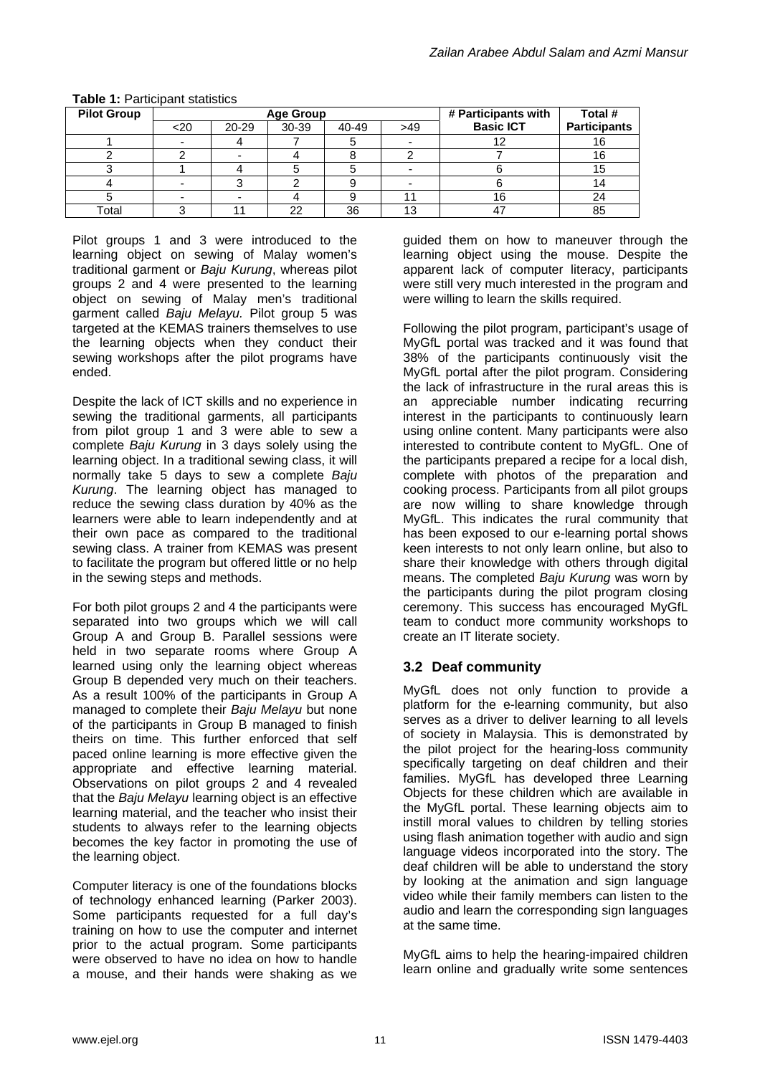| <b>Pilot Group</b> | <b>Age Group</b> |       |       |       |     | # Participants with | Total #             |
|--------------------|------------------|-------|-------|-------|-----|---------------------|---------------------|
|                    | <20              | 20-29 | 30-39 | 40-49 | >49 | <b>Basic ICT</b>    | <b>Participants</b> |
|                    |                  |       |       |       |     |                     | 16                  |
|                    |                  |       |       |       |     |                     |                     |
|                    |                  |       |       |       |     |                     |                     |
|                    |                  |       |       |       |     |                     |                     |
|                    |                  |       |       |       |     | 16                  | 24                  |
| Total              |                  |       | 22    | 36    | 13  |                     | 85                  |

#### **Table 1:** Participant statistics

Pilot groups 1 and 3 were introduced to the learning object on sewing of Malay women's traditional garment or *Baju Kurung*, whereas pilot groups 2 and 4 were presented to the learning object on sewing of Malay men's traditional garment called *Baju Melayu.* Pilot group 5 was targeted at the KEMAS trainers themselves to use the learning objects when they conduct their sewing workshops after the pilot programs have ended.

Despite the lack of ICT skills and no experience in sewing the traditional garments, all participants from pilot group 1 and 3 were able to sew a complete *Baju Kurung* in 3 days solely using the learning object. In a traditional sewing class, it will normally take 5 days to sew a complete *Baju Kurung*. The learning object has managed to reduce the sewing class duration by 40% as the learners were able to learn independently and at their own pace as compared to the traditional sewing class. A trainer from KEMAS was present to facilitate the program but offered little or no help in the sewing steps and methods.

For both pilot groups 2 and 4 the participants were separated into two groups which we will call Group A and Group B. Parallel sessions were held in two separate rooms where Group A learned using only the learning object whereas Group B depended very much on their teachers. As a result 100% of the participants in Group A managed to complete their *Baju Melayu* but none of the participants in Group B managed to finish theirs on time. This further enforced that self paced online learning is more effective given the appropriate and effective learning material. Observations on pilot groups 2 and 4 revealed that the *Baju Melayu* learning object is an effective learning material, and the teacher who insist their students to always refer to the learning objects becomes the key factor in promoting the use of the learning object.

Computer literacy is one of the foundations blocks of technology enhanced learning (Parker 2003). Some participants requested for a full day's training on how to use the computer and internet prior to the actual program. Some participants were observed to have no idea on how to handle a mouse, and their hands were shaking as we

guided them on how to maneuver through the learning object using the mouse. Despite the apparent lack of computer literacy, participants were still very much interested in the program and were willing to learn the skills required.

Following the pilot program, participant's usage of MyGfL portal was tracked and it was found that 38% of the participants continuously visit the MyGfL portal after the pilot program. Considering the lack of infrastructure in the rural areas this is an appreciable number indicating recurring interest in the participants to continuously learn using online content. Many participants were also interested to contribute content to MyGfL. One of the participants prepared a recipe for a local dish, complete with photos of the preparation and cooking process. Participants from all pilot groups are now willing to share knowledge through MyGfL. This indicates the rural community that has been exposed to our e-learning portal shows keen interests to not only learn online, but also to share their knowledge with others through digital means. The completed *Baju Kurung* was worn by the participants during the pilot program closing ceremony. This success has encouraged MyGfL team to conduct more community workshops to create an IT literate society.

#### **3.2 Deaf community**

MyGfL does not only function to provide a platform for the e-learning community, but also serves as a driver to deliver learning to all levels of society in Malaysia. This is demonstrated by the pilot project for the hearing-loss community specifically targeting on deaf children and their families. MyGfL has developed three Learning Objects for these children which are available in the MyGfL portal. These learning objects aim to instill moral values to children by telling stories using flash animation together with audio and sign language videos incorporated into the story. The deaf children will be able to understand the story by looking at the animation and sign language video while their family members can listen to the audio and learn the corresponding sign languages at the same time.

MyGfL aims to help the hearing-impaired children learn online and gradually write some sentences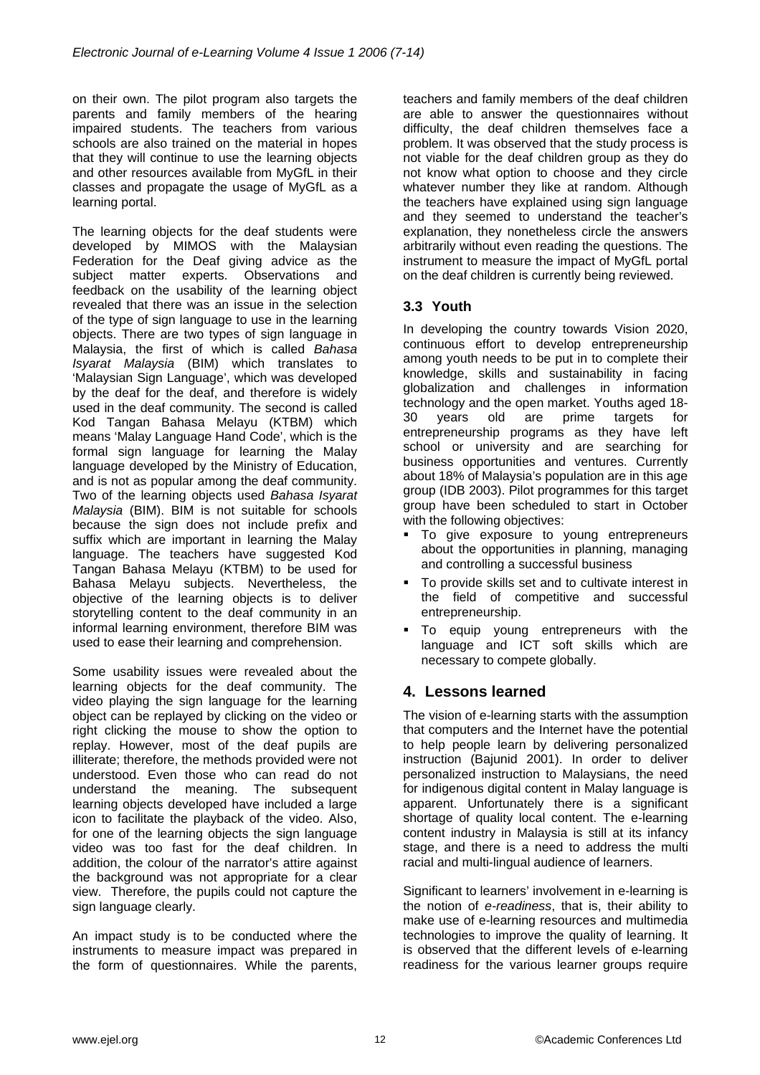on their own. The pilot program also targets the parents and family members of the hearing impaired students. The teachers from various schools are also trained on the material in hopes that they will continue to use the learning objects and other resources available from MyGfL in their classes and propagate the usage of MyGfL as a learning portal.

The learning objects for the deaf students were developed by MIMOS with the Malaysian Federation for the Deaf giving advice as the subject matter experts. Observations and feedback on the usability of the learning object revealed that there was an issue in the selection of the type of sign language to use in the learning objects. There are two types of sign language in Malaysia, the first of which is called *Bahasa Isyarat Malaysia* (BIM) which translates to 'Malaysian Sign Language', which was developed by the deaf for the deaf, and therefore is widely used in the deaf community. The second is called Kod Tangan Bahasa Melayu (KTBM) which means 'Malay Language Hand Code', which is the formal sign language for learning the Malay language developed by the Ministry of Education, and is not as popular among the deaf community. Two of the learning objects used *Bahasa Isyarat Malaysia* (BIM). BIM is not suitable for schools because the sign does not include prefix and suffix which are important in learning the Malay language. The teachers have suggested Kod Tangan Bahasa Melayu (KTBM) to be used for Bahasa Melayu subjects. Nevertheless, the objective of the learning objects is to deliver storytelling content to the deaf community in an informal learning environment, therefore BIM was used to ease their learning and comprehension.

Some usability issues were revealed about the learning objects for the deaf community. The video playing the sign language for the learning object can be replayed by clicking on the video or right clicking the mouse to show the option to replay. However, most of the deaf pupils are illiterate; therefore, the methods provided were not understood. Even those who can read do not understand the meaning. The subsequent learning objects developed have included a large icon to facilitate the playback of the video. Also, for one of the learning objects the sign language video was too fast for the deaf children. In addition, the colour of the narrator's attire against the background was not appropriate for a clear view. Therefore, the pupils could not capture the sign language clearly.

An impact study is to be conducted where the instruments to measure impact was prepared in the form of questionnaires. While the parents,

teachers and family members of the deaf children are able to answer the questionnaires without difficulty, the deaf children themselves face a problem. It was observed that the study process is not viable for the deaf children group as they do not know what option to choose and they circle whatever number they like at random. Although the teachers have explained using sign language and they seemed to understand the teacher's explanation, they nonetheless circle the answers arbitrarily without even reading the questions. The instrument to measure the impact of MyGfL portal on the deaf children is currently being reviewed.

## **3.3 Youth**

In developing the country towards Vision 2020, continuous effort to develop entrepreneurship among youth needs to be put in to complete their knowledge, skills and sustainability in facing globalization and challenges in information technology and the open market. Youths aged 18- 30 years old are prime targets for entrepreneurship programs as they have left school or university and are searching for business opportunities and ventures. Currently about 18% of Malaysia's population are in this age group (IDB 2003). Pilot programmes for this target group have been scheduled to start in October with the following objectives:

- $\blacksquare$  To give exposure to young entrepreneurs about the opportunities in planning, managing and controlling a successful business
- To provide skills set and to cultivate interest in the field of competitive and successful entrepreneurship.
- To equip young entrepreneurs with the language and ICT soft skills which are necessary to compete globally.

# **4. Lessons learned**

The vision of e-learning starts with the assumption that computers and the Internet have the potential to help people learn by delivering personalized instruction (Bajunid 2001). In order to deliver personalized instruction to Malaysians, the need for indigenous digital content in Malay language is apparent. Unfortunately there is a significant shortage of quality local content. The e-learning content industry in Malaysia is still at its infancy stage, and there is a need to address the multi racial and multi-lingual audience of learners.

Significant to learners' involvement in e-learning is the notion of *e-readiness*, that is, their ability to make use of e-learning resources and multimedia technologies to improve the quality of learning. It is observed that the different levels of e-learning readiness for the various learner groups require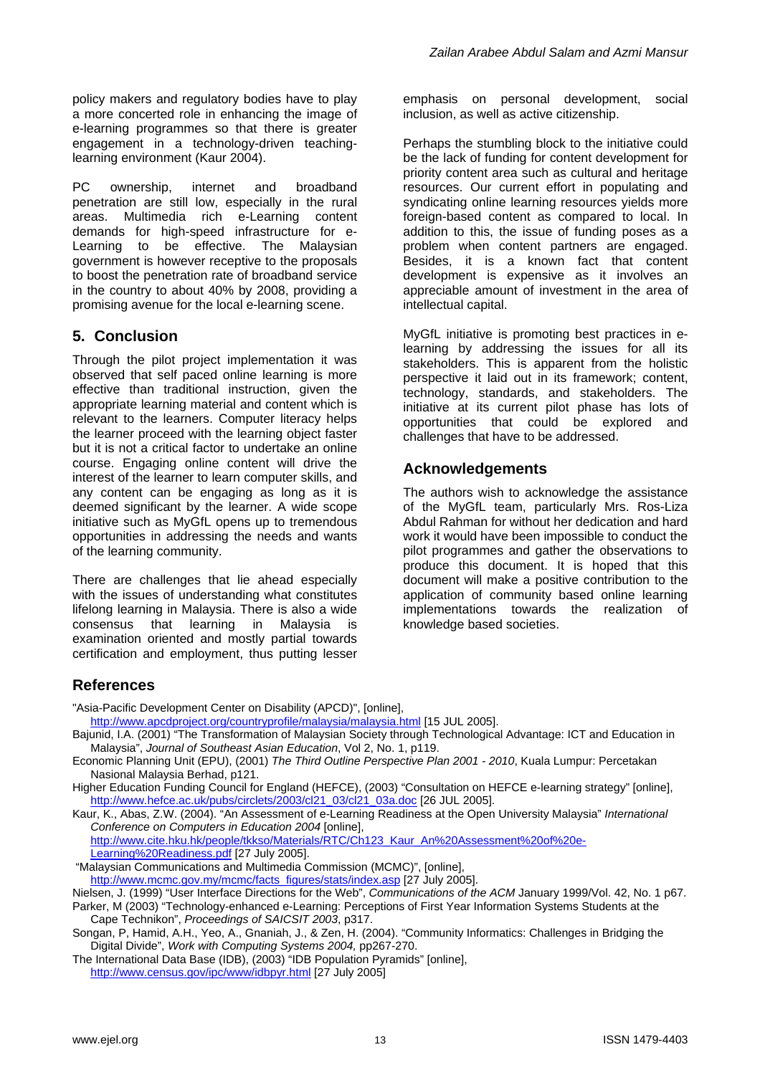policy makers and regulatory bodies have to play a more concerted role in enhancing the image of e-learning programmes so that there is greater engagement in a technology-driven teachinglearning environment (Kaur 2004).

PC ownership, internet and broadband penetration are still low, especially in the rural areas. Multimedia rich e-Learning content demands for high-speed infrastructure for e-Learning to be effective. The Malaysian government is however receptive to the proposals to boost the penetration rate of broadband service in the country to about 40% by 2008, providing a promising avenue for the local e-learning scene.

# **5. Conclusion**

Through the pilot project implementation it was observed that self paced online learning is more effective than traditional instruction, given the appropriate learning material and content which is relevant to the learners. Computer literacy helps the learner proceed with the learning object faster but it is not a critical factor to undertake an online course. Engaging online content will drive the interest of the learner to learn computer skills, and any content can be engaging as long as it is deemed significant by the learner. A wide scope initiative such as MyGfL opens up to tremendous opportunities in addressing the needs and wants of the learning community.

There are challenges that lie ahead especially with the issues of understanding what constitutes lifelong learning in Malaysia. There is also a wide consensus that learning in Malaysia is examination oriented and mostly partial towards certification and employment, thus putting lesser emphasis on personal development, social inclusion, as well as active citizenship.

Perhaps the stumbling block to the initiative could be the lack of funding for content development for priority content area such as cultural and heritage resources. Our current effort in populating and syndicating online learning resources yields more foreign-based content as compared to local. In addition to this, the issue of funding poses as a problem when content partners are engaged. Besides, it is a known fact that content development is expensive as it involves an appreciable amount of investment in the area of intellectual capital.

MyGfL initiative is promoting best practices in elearning by addressing the issues for all its stakeholders. This is apparent from the holistic perspective it laid out in its framework; content, technology, standards, and stakeholders. The initiative at its current pilot phase has lots of opportunities that could be explored and challenges that have to be addressed.

# **Acknowledgements**

The authors wish to acknowledge the assistance of the MyGfL team, particularly Mrs. Ros-Liza Abdul Rahman for without her dedication and hard work it would have been impossible to conduct the pilot programmes and gather the observations to produce this document. It is hoped that this document will make a positive contribution to the application of community based online learning implementations towards the realization of knowledge based societies.

# **References**

"Asia-Pacific Development Center on Disability (APCD)", [online],

<http://www.apcdproject.org/countryprofile/malaysia/malaysia.html>[15 JUL 2005].

- Bajunid, I.A. (2001) "The Transformation of Malaysian Society through Technological Advantage: ICT and Education in Malaysia", *Journal of Southeast Asian Education*, Vol 2, No. 1, p119.
- Economic Planning Unit (EPU), (2001) *The Third Outline Perspective Plan 2001 2010*, Kuala Lumpur: Percetakan Nasional Malaysia Berhad, p121.
- Higher Education Funding Council for England (HEFCE), (2003) "Consultation on HEFCE e-learning strategy" [online], [http://www.hefce.ac.uk/pubs/circlets/2003/cl21\\_03/cl21\\_03a.doc](http://www.hefce.ac.uk/pubs/circlets/2003/cl21_03/cl21_03a.doc) [26 JUL 2005].

Kaur, K., Abas, Z.W. (2004). "An Assessment of e-Learning Readiness at the Open University Malaysia" *International Conference on Computers in Education 2004* [online], [http://www.cite.hku.hk/people/tkkso/Materials/RTC/Ch123\\_Kaur\\_An%20Assessment%20of%20e-](http://www.cite.hku.hk/people/tkkso/Materials/RTC/Ch123_Kaur_An%20Assessment%20of%20e-Learning%20Readiness.pdf)[Learning%20Readiness.pdf](http://www.cite.hku.hk/people/tkkso/Materials/RTC/Ch123_Kaur_An%20Assessment%20of%20e-Learning%20Readiness.pdf) [27 July 2005].

"Malaysian Communications and Multimedia Commission (MCMC)", [online],

[http://www.mcmc.gov.my/mcmc/facts\\_figures/stats/index.asp](http://www.mcmc.gov.my/mcmc/facts_figures/stats/index.asp) [27 July 2005].

Nielsen, J. (1999) "User Interface Directions for the Web", *Communications of the ACM* January 1999/Vol. 42, No. 1 p67. Parker, M (2003) "Technology-enhanced e-Learning: Perceptions of First Year Information Systems Students at the Cape Technikon", *Proceedings of SAICSIT 2003*, p317.

Songan, P, Hamid, A.H., Yeo, A., Gnaniah, J., & Zen, H. (2004). "Community Informatics: Challenges in Bridging the Digital Divide", *Work with Computing Systems 2004,* pp267-270.

The International Data Base (IDB), (2003) "IDB Population Pyramids" [online], <http://www.census.gov/ipc/www/idbpyr.html> [27 July 2005]